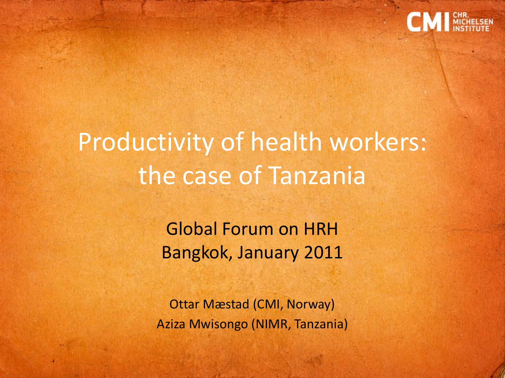

# Productivity of health workers: the case of Tanzania

Global Forum on HRH Bangkok, January 2011

Ottar Mæstad (CMI, Norway) Aziza Mwisongo (NIMR, Tanzania)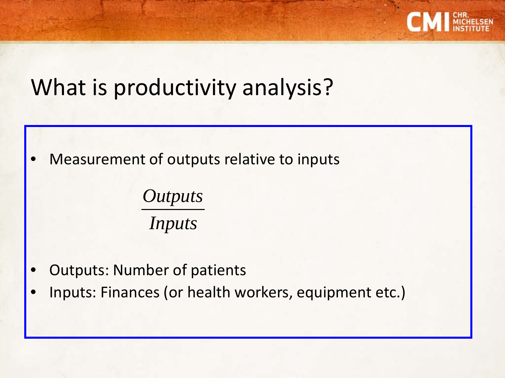

### What is productivity analysis?

• Measurement of outputs relative to inputs

*Inputs Outputs*

- Outputs: Number of patients
- Inputs: Finances (or health workers, equipment etc.)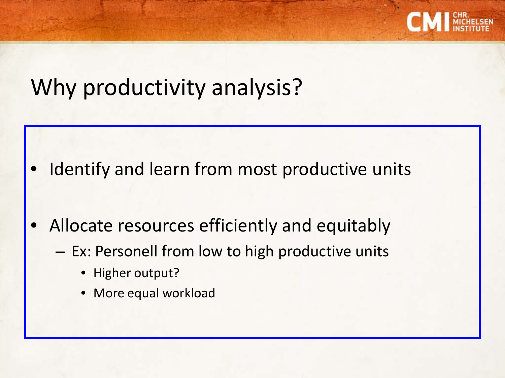

### Why productivity analysis?

- Identify and learn from most productive units
- Allocate resources efficiently and equitably
	- Ex: Personell from low to high productive units
		- Higher output?
		- More equal workload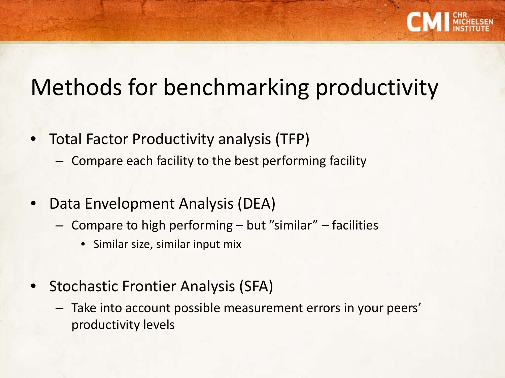

## Methods for benchmarking productivity

- Total Factor Productivity analysis (TFP)
	- Compare each facility to the best performing facility
- Data Envelopment Analysis (DEA)
	- Compare to high performing but "similar" facilities
		- Similar size, similar input mix
- Stochastic Frontier Analysis (SFA)
	- Take into account possible measurement errors in your peers' productivity levels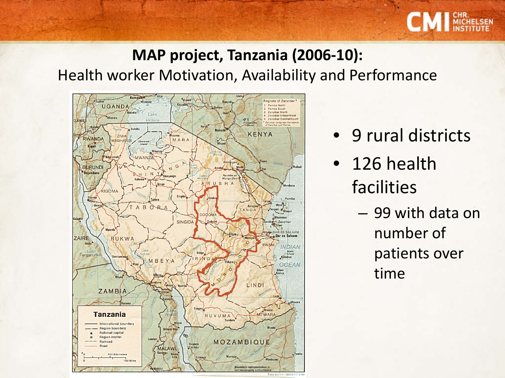

#### **MAP project, Tanzania (2006-10):** Health worker Motivation, Availability and Performance



- 9 rural districts
- 126 health facilities
	- 99 with data on number of patients over time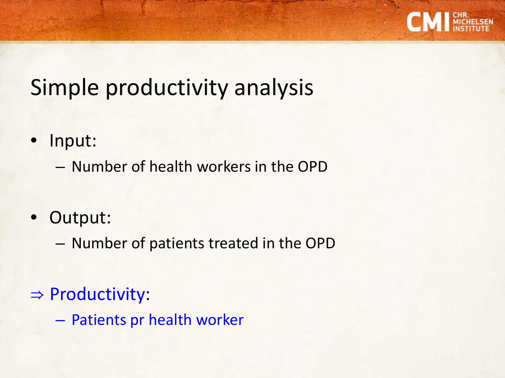

## Simple productivity analysis

- Input:
	- Number of health workers in the OPD
- Output:
	- Number of patients treated in the OPD
- ⇒ Productivity:
	- Patients pr health worker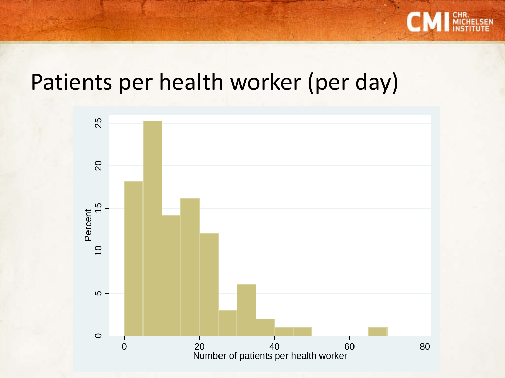

#### Patients per health worker (per day)

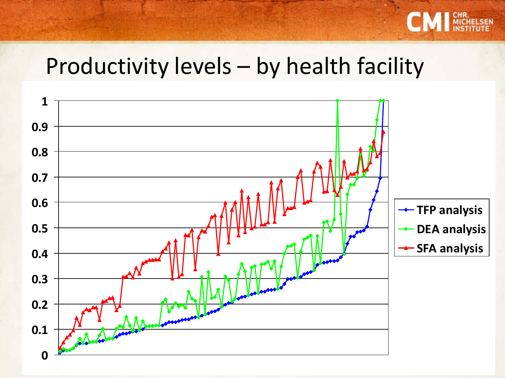

#### Productivity levels – by health facility

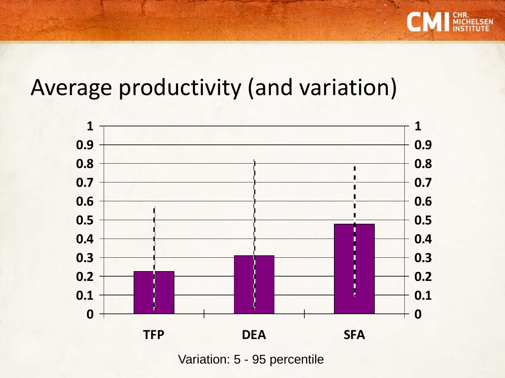

### Average productivity (and variation)



Variation: 5 - 95 percentile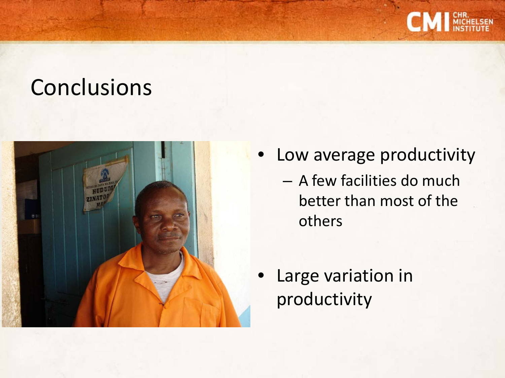

### **Conclusions**



• Low average productivity – A few facilities do much better than most of the others

• Large variation in productivity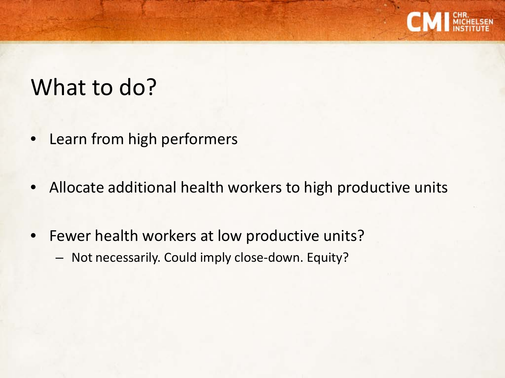

### What to do?

- Learn from high performers
- Allocate additional health workers to high productive units
- Fewer health workers at low productive units?
	- Not necessarily. Could imply close-down. Equity?